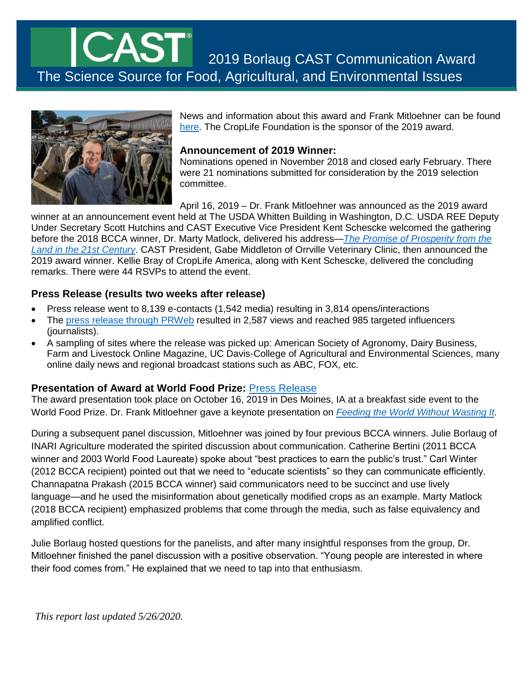# The Science Source for Food, Agricultural, and Environmental Issues 2019 Borlaug CAST Communication Award



News and information about this award and Frank Mitloehner can be found [here.](https://www.cast-science.org/awards/borlaug-cast-communication-award/borlaug-cast-communication-award-recipients/frank-mitloehner/) The CropLife Foundation is the sponsor of the 2019 award.

# **Announcement of 2019 Winner:**

Nominations opened in November 2018 and closed early February. There were 21 nominations submitted for consideration by the 2019 selection committee.

April 16, 2019 – Dr. Frank Mitloehner was announced as the 2019 award

winner at an announcement event held at The USDA Whitten Building in Washington, D.C. USDA REE Deputy Under Secretary Scott Hutchins and CAST Executive Vice President Kent Schescke welcomed the gathering before the 2018 BCCA winner, Dr. Marty Matlock, delivered his address—*[The Promise of Prosperity from the](https://youtu.be/CDJmPNC8TYw?t=955)  [Land in the 21st Century](https://youtu.be/CDJmPNC8TYw?t=955)*. CAST President, Gabe Middleton of Orrville Veterinary Clinic, then announced the 2019 award winner. Kellie Bray of CropLife America, along with Kent Schescke, delivered the concluding remarks. There were 44 RSVPs to attend the event.

# **Press Release (results two weeks after release)**

- Press release went to 8,139 e-contacts (1,542 media) resulting in 3,814 opens/interactions
- The [press release through PRWeb](http://www.prweb.com/releases/frank_mitloehner_honored_with_science_communication_award/prweb16242946.htm) resulted in 2,587 views and reached 985 targeted influencers (journalists).
- A sampling of sites where the release was picked up: American Society of Agronomy, Dairy Business, Farm and Livestock Online Magazine, UC Davis-College of Agricultural and Environmental Sciences, many online daily news and regional broadcast stations such as ABC, FOX, etc.

# **Presentation of Award at World Food Prize:** [Press Release](https://www.cast-science.org/mitloehner-receives-award-at-10th-annual-bcca-event/)

The award presentation took place on October 16, 2019 in Des Moines, IA at a breakfast side event to the World Food Prize. Dr. Frank Mitloehner gave a keynote presentation on *[Feeding the World Without Wasting It.](https://www.youtube.com/watch?v=iBYouI6wPjM)*

During a subsequent panel discussion, Mitloehner was joined by four previous BCCA winners. Julie Borlaug of INARI Agriculture moderated the spirited discussion about communication. Catherine Bertini (2011 BCCA winner and 2003 World Food Laureate) spoke about "best practices to earn the public's trust." Carl Winter (2012 BCCA recipient) pointed out that we need to "educate scientists" so they can communicate efficiently. Channapatna Prakash (2015 BCCA winner) said communicators need to be succinct and use lively language—and he used the misinformation about genetically modified crops as an example. Marty Matlock (2018 BCCA recipient) emphasized problems that come through the media, such as false equivalency and amplified conflict.

Julie Borlaug hosted questions for the panelists, and after many insightful responses from the group, Dr. Mitloehner finished the panel discussion with a positive observation. "Young people are interested in where their food comes from." He explained that we need to tap into that enthusiasm.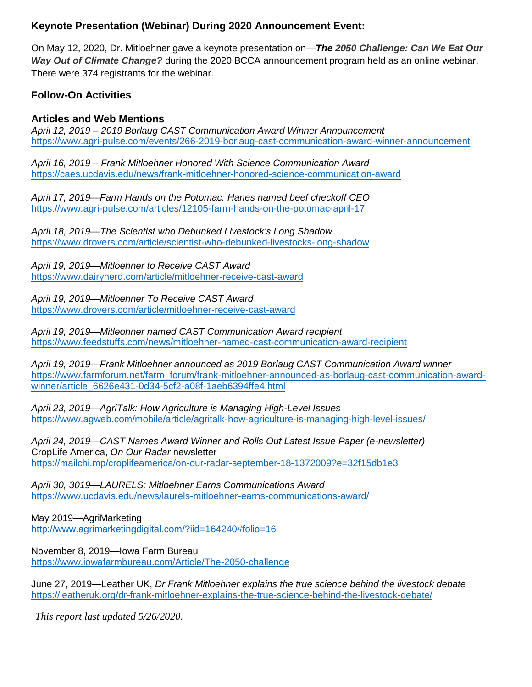# **Keynote Presentation (Webinar) During 2020 Announcement Event:**

On May 12, 2020, Dr. Mitloehner gave a keynote presentation on—*The 2050 Challenge: Can We Eat Our Way Out of Climate Change?* during the 2020 BCCA announcement program held as an online webinar. There were 374 registrants for the webinar.

# **Follow-On Activities**

# **Articles and Web Mentions**

*April 12, 2019 – 2019 Borlaug CAST Communication Award Winner Announcement* <https://www.agri-pulse.com/events/266-2019-borlaug-cast-communication-award-winner-announcement>

*April 16, 2019 – Frank Mitloehner Honored With Science Communication Award* <https://caes.ucdavis.edu/news/frank-mitloehner-honored-science-communication-award>

*April 17, 2019—Farm Hands on the Potomac: Hanes named beef checkoff CEO* <https://www.agri-pulse.com/articles/12105-farm-hands-on-the-potomac-april-17>

*April 18, 2019—The Scientist who Debunked Livestock's Long Shadow* <https://www.drovers.com/article/scientist-who-debunked-livestocks-long-shadow>

*April 19, 2019—Mitloehner to Receive CAST Award* <https://www.dairyherd.com/article/mitloehner-receive-cast-award>

*April 19, 2019—Mitloehner To Receive CAST Award* <https://www.drovers.com/article/mitloehner-receive-cast-award>

*April 19, 2019—Mitleohner named CAST Communication Award recipient* <https://www.feedstuffs.com/news/mitloehner-named-cast-communication-award-recipient>

*April 19, 2019—Frank Mitloehner announced as 2019 Borlaug CAST Communication Award winner* [https://www.farmforum.net/farm\\_forum/frank-mitloehner-announced-as-borlaug-cast-communication-award](https://www.farmforum.net/farm_forum/frank-mitloehner-announced-as-borlaug-cast-communication-award-winner/article_6626e431-0d34-5cf2-a08f-1aeb6394ffe4.html)[winner/article\\_6626e431-0d34-5cf2-a08f-1aeb6394ffe4.html](https://www.farmforum.net/farm_forum/frank-mitloehner-announced-as-borlaug-cast-communication-award-winner/article_6626e431-0d34-5cf2-a08f-1aeb6394ffe4.html)

*April 23, 2019—AgriTalk: How Agriculture is Managing High-Level Issues* <https://www.agweb.com/mobile/article/agritalk-how-agriculture-is-managing-high-level-issues/>

*April 24, 2019—CAST Names Award Winner and Rolls Out Latest Issue Paper (e-newsletter)* CropLife America, *On Our Radar* newsletter <https://mailchi.mp/croplifeamerica/on-our-radar-september-18-1372009?e=32f15db1e3>

*April 30, 3019—LAURELS: Mitloehner Earns Communications Award* <https://www.ucdavis.edu/news/laurels-mitloehner-earns-communications-award/>

May 2019—AgriMarketing <http://www.agrimarketingdigital.com/?iid=164240#folio=16>

November 8, 2019—Iowa Farm Bureau <https://www.iowafarmbureau.com/Article/The-2050-challenge>

June 27, 2019—Leather UK, *Dr Frank Mitloehner explains the true science behind the livestock debate* <https://leatheruk.org/dr-frank-mitloehner-explains-the-true-science-behind-the-livestock-debate/>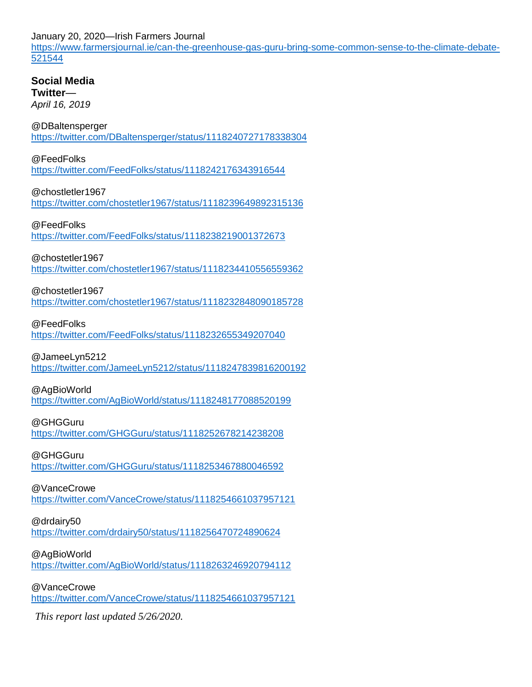January 20, 2020—Irish Farmers Journal

[https://www.farmersjournal.ie/can-the-greenhouse-gas-guru-bring-some-common-sense-to-the-climate-debate-](https://www.farmersjournal.ie/can-the-greenhouse-gas-guru-bring-some-common-sense-to-the-climate-debate-521544)[521544](https://www.farmersjournal.ie/can-the-greenhouse-gas-guru-bring-some-common-sense-to-the-climate-debate-521544)

**Social Media Twitter**— *April 16, 2019*

## @DBaltensperger

<https://twitter.com/DBaltensperger/status/1118240727178338304>

#### @FeedFolks

<https://twitter.com/FeedFolks/status/1118242176343916544>

## @chostletler1967

<https://twitter.com/chostetler1967/status/1118239649892315136>

#### @FeedFolks

<https://twitter.com/FeedFolks/status/1118238219001372673>

#### @chostetler1967

<https://twitter.com/chostetler1967/status/1118234410556559362>

## @chostetler1967

<https://twitter.com/chostetler1967/status/1118232848090185728>

#### @FeedFolks

<https://twitter.com/FeedFolks/status/1118232655349207040>

#### @JameeLyn5212

<https://twitter.com/JameeLyn5212/status/1118247839816200192>

## @AgBioWorld

<https://twitter.com/AgBioWorld/status/1118248177088520199>

## @GHGGuru

<https://twitter.com/GHGGuru/status/1118252678214238208>

#### @GHGGuru

<https://twitter.com/GHGGuru/status/1118253467880046592>

## @VanceCrowe

<https://twitter.com/VanceCrowe/status/1118254661037957121>

#### @drdairy50

<https://twitter.com/drdairy50/status/1118256470724890624>

## @AgBioWorld

<https://twitter.com/AgBioWorld/status/1118263246920794112>

## @VanceCrowe

<https://twitter.com/VanceCrowe/status/1118254661037957121>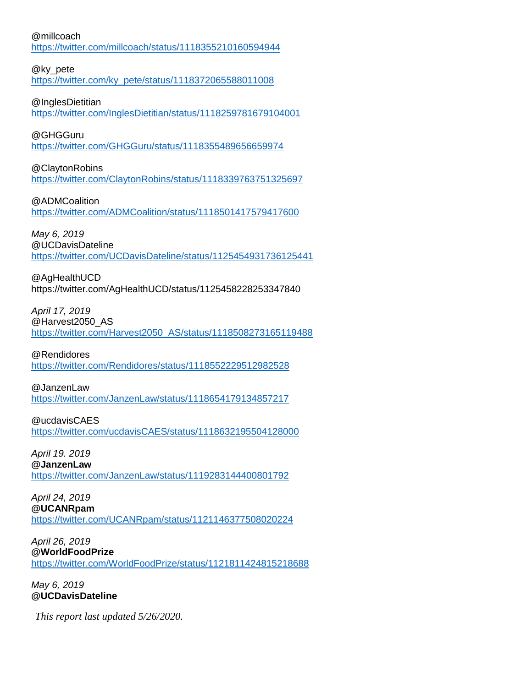#### @millcoach

<https://twitter.com/millcoach/status/1118355210160594944>

## @ky\_pete

[https://twitter.com/ky\\_pete/status/1118372065588011008](https://twitter.com/ky_pete/status/1118372065588011008)

## @InglesDietitian

<https://twitter.com/InglesDietitian/status/1118259781679104001>

## @GHGGuru

<https://twitter.com/GHGGuru/status/1118355489656659974>

## @ClaytonRobins

<https://twitter.com/ClaytonRobins/status/1118339763751325697>

@ADMCoalition

<https://twitter.com/ADMCoalition/status/1118501417579417600>

*May 6, 2019* @UCDavisDateline

<https://twitter.com/UCDavisDateline/status/1125454931736125441>

# @AgHealthUCD

https://twitter.com/AgHealthUCD/status/1125458228253347840

*April 17, 2019*

## @Harvest2050\_AS

[https://twitter.com/Harvest2050\\_AS/status/1118508273165119488](https://twitter.com/Harvest2050_AS/status/1118508273165119488)

@Rendidores

<https://twitter.com/Rendidores/status/1118552229512982528>

## @JanzenLaw

<https://twitter.com/JanzenLaw/status/1118654179134857217>

@ucdavisCAES <https://twitter.com/ucdavisCAES/status/1118632195504128000>

*April 19. 2019* **@JanzenLaw** <https://twitter.com/JanzenLaw/status/1119283144400801792>

*April 24, 2019* **@UCANRpam** <https://twitter.com/UCANRpam/status/1121146377508020224>

*April 26, 2019* **@WorldFoodPrize** <https://twitter.com/WorldFoodPrize/status/1121811424815218688>

*May 6, 2019* **@UCDavisDateline**